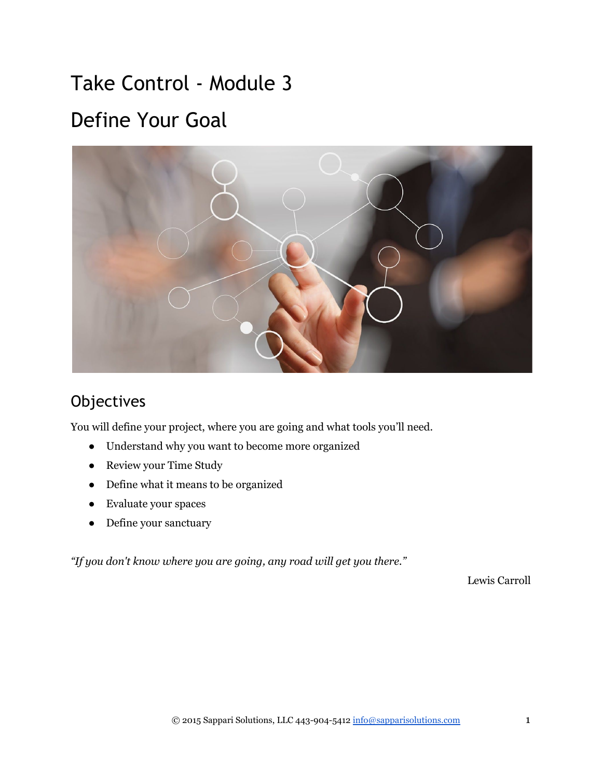# Take Control ‐ Module 3 Define Your Goal



# **Objectives**

You will define your project, where you are going and what tools you'll need.

- Understand why you want to become more organized
- Review your Time Study
- Define what it means to be organized
- Evaluate your spaces
- Define your sanctuary

*"If you don't know where you are going, any road will get you there."*

Lewis Carroll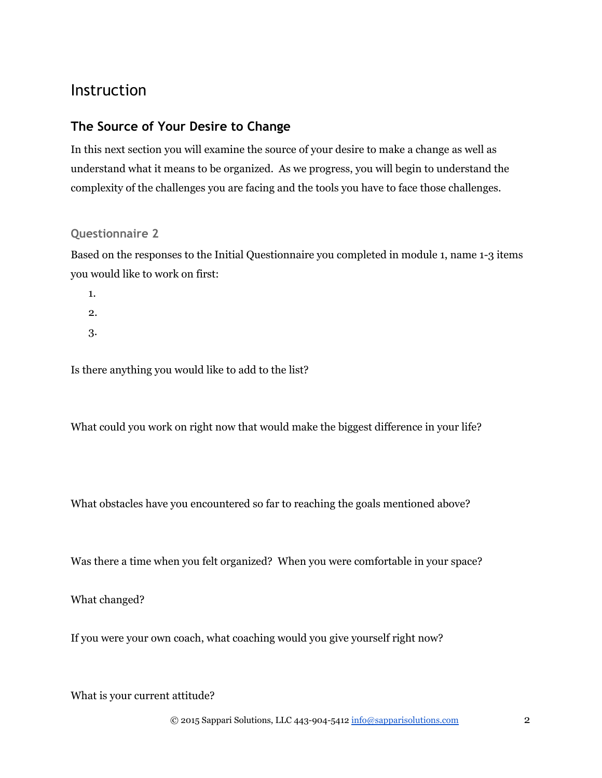# Instruction

### **The Source of Your Desire to Change**

In this next section you will examine the source of your desire to make a change as well as understand what it means to be organized. As we progress, you will begin to understand the complexity of the challenges you are facing and the tools you have to face those challenges.

#### **Questionnaire 2**

Based on the responses to the Initial Questionnaire you completed in module 1, name 1-3 items you would like to work on first:

1.

2.

3.

Is there anything you would like to add to the list?

What could you work on right now that would make the biggest difference in your life?

What obstacles have you encountered so far to reaching the goals mentioned above?

Was there a time when you felt organized? When you were comfortable in your space?

What changed?

If you were your own coach, what coaching would you give yourself right now?

What is your current attitude?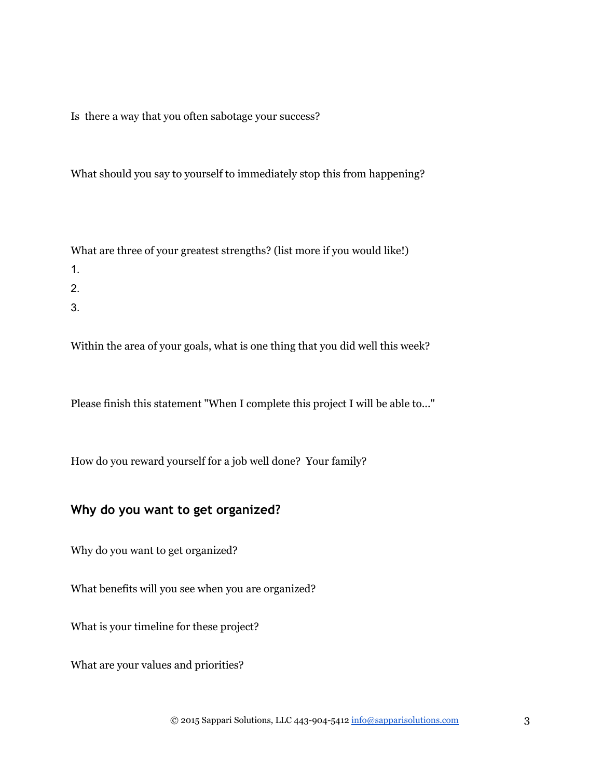Is there a way that you often sabotage your success?

What should you say to yourself to immediately stop this from happening?

What are three of your greatest strengths? (list more if you would like!)

- 1.
- 
- 2.
- 3.

Within the area of your goals, what is one thing that you did well this week?

Please finish this statement "When I complete this project I will be able to..."

How do you reward yourself for a job well done? Your family?

### **Why do you want to get organized?**

Why do you want to get organized?

What benefits will you see when you are organized?

What is your timeline for these project?

What are your values and priorities?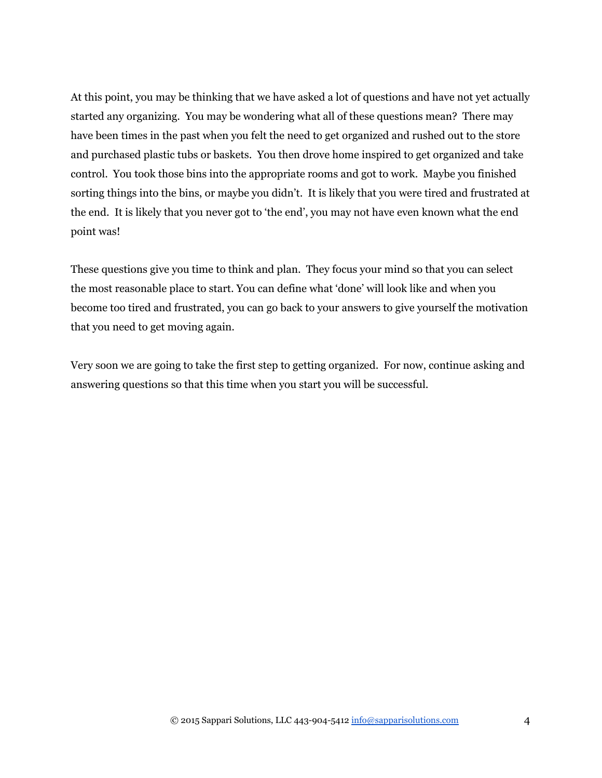At this point, you may be thinking that we have asked a lot of questions and have not yet actually started any organizing. You may be wondering what all of these questions mean? There may have been times in the past when you felt the need to get organized and rushed out to the store and purchased plastic tubs or baskets. You then drove home inspired to get organized and take control. You took those bins into the appropriate rooms and got to work. Maybe you finished sorting things into the bins, or maybe you didn't. It is likely that you were tired and frustrated at the end. It is likely that you never got to 'the end', you may not have even known what the end point was!

These questions give you time to think and plan. They focus your mind so that you can select the most reasonable place to start. You can define what 'done' will look like and when you become too tired and frustrated, you can go back to your answers to give yourself the motivation that you need to get moving again.

Very soon we are going to take the first step to getting organized. For now, continue asking and answering questions so that this time when you start you will be successful.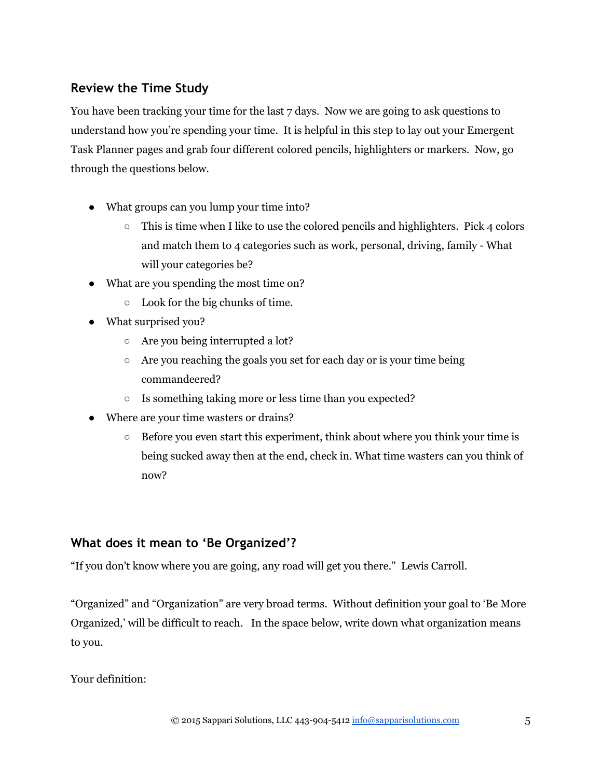### **Review the Time Study**

You have been tracking your time for the last 7 days. Now we are going to ask questions to understand how you're spending your time. It is helpful in this step to lay out your Emergent Task Planner pages and grab four different colored pencils, highlighters or markers. Now, go through the questions below.

- What groups can you lump your time into?
	- $\circ$  This is time when I like to use the colored pencils and highlighters. Pick 4 colors and match them to 4 categories such as work, personal, driving, family - What will your categories be?
- What are you spending the most time on?
	- Look for the big chunks of time.
- What surprised you?
	- Are you being interrupted a lot?
	- Are you reaching the goals you set for each day or is your time being commandeered?
	- Is something taking more or less time than you expected?
- Where are your time wasters or drains?
	- Before you even start this experiment, think about where you think your time is being sucked away then at the end, check in. What time wasters can you think of now?

# **What does it mean to 'Be Organized'?**

"If you don't know where you are going, any road will get you there." Lewis Carroll.

"Organized" and "Organization" are very broad terms. Without definition your goal to 'Be More Organized,' will be difficult to reach. In the space below, write down what organization means to you.

#### Your definition: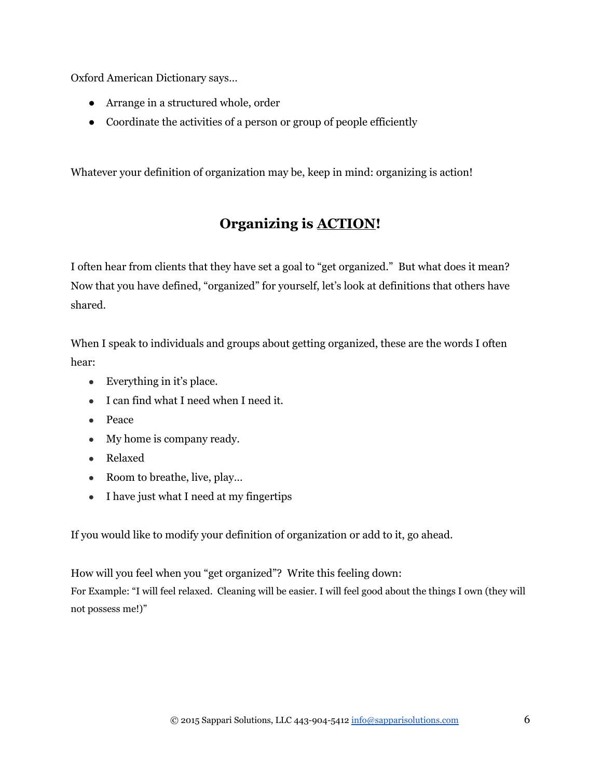Oxford American Dictionary says…

- Arrange in a structured whole, order
- Coordinate the activities of a person or group of people efficiently

Whatever your definition of organization may be, keep in mind: organizing is action!

# **Organizing is ACTION!**

I often hear from clients that they have set a goal to "get organized." But what does it mean? Now that you have defined, "organized" for yourself, let's look at definitions that others have shared.

When I speak to individuals and groups about getting organized, these are the words I often hear:

- Everything in it's place.
- I can find what I need when I need it.
- Peace
- My home is company ready.
- Relaxed
- Room to breathe, live, play...
- I have just what I need at my fingertips

If you would like to modify your definition of organization or add to it, go ahead.

How will you feel when you "get organized"? Write this feeling down: For Example: "I will feel relaxed. Cleaning will be easier. I will feel good about the things I own (they will not possess me!)"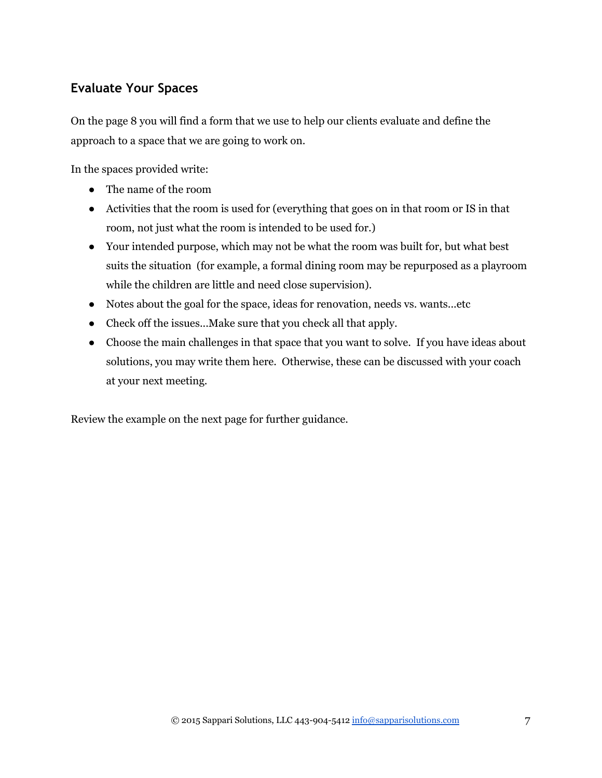# **Evaluate Your Spaces**

On the page 8 you will find a form that we use to help our clients evaluate and define the approach to a space that we are going to work on.

In the spaces provided write:

- The name of the room
- Activities that the room is used for (everything that goes on in that room or IS in that room, not just what the room is intended to be used for.)
- Your intended purpose, which may not be what the room was built for, but what best suits the situation (for example, a formal dining room may be repurposed as a playroom while the children are little and need close supervision).
- Notes about the goal for the space, ideas for renovation, needs vs. wants...etc
- Check off the issues...Make sure that you check all that apply.
- Choose the main challenges in that space that you want to solve. If you have ideas about solutions, you may write them here. Otherwise, these can be discussed with your coach at your next meeting.

Review the example on the next page for further guidance.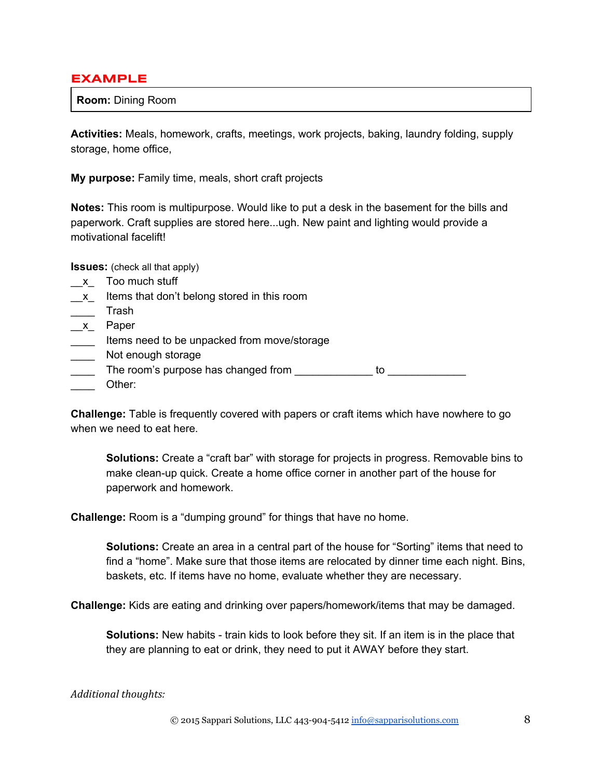#### **EXAMPLE**

**Room:** Dining Room

**Activities:** Meals, homework, crafts, meetings, work projects, baking, laundry folding, supply storage, home office,

**My purpose:** Family time, meals, short craft projects

**Notes:** This room is multipurpose. Would like to put a desk in the basement for the bills and paperwork. Craft supplies are stored here...ugh. New paint and lighting would provide a motivational facelift!

**Issues:** (check all that apply)

- \_\_x\_ Too much stuff
- \_x\_ Items that don't belong stored in this room
- \_\_\_\_ Trash
- \_\_x\_ Paper
- **Items need to be unpacked from move/storage**
- \_\_\_\_\_ Not enough storage
- The room's purpose has changed from \_\_\_\_\_\_\_\_\_\_\_\_\_\_ to \_\_\_\_ Other:

**Challenge:** Table is frequently covered with papers or craft items which have nowhere to go when we need to eat here.

**Solutions:** Create a "craft bar" with storage for projects in progress. Removable bins to make clean-up quick. Create a home office corner in another part of the house for paperwork and homework.

**Challenge:** Room is a "dumping ground" for things that have no home.

**Solutions:** Create an area in a central part of the house for "Sorting" items that need to find a "home". Make sure that those items are relocated by dinner time each night. Bins, baskets, etc. If items have no home, evaluate whether they are necessary.

**Challenge:** Kids are eating and drinking over papers/homework/items that may be damaged.

**Solutions:** New habits - train kids to look before they sit. If an item is in the place that they are planning to eat or drink, they need to put it AWAY before they start.

#### *Additional thoughts:*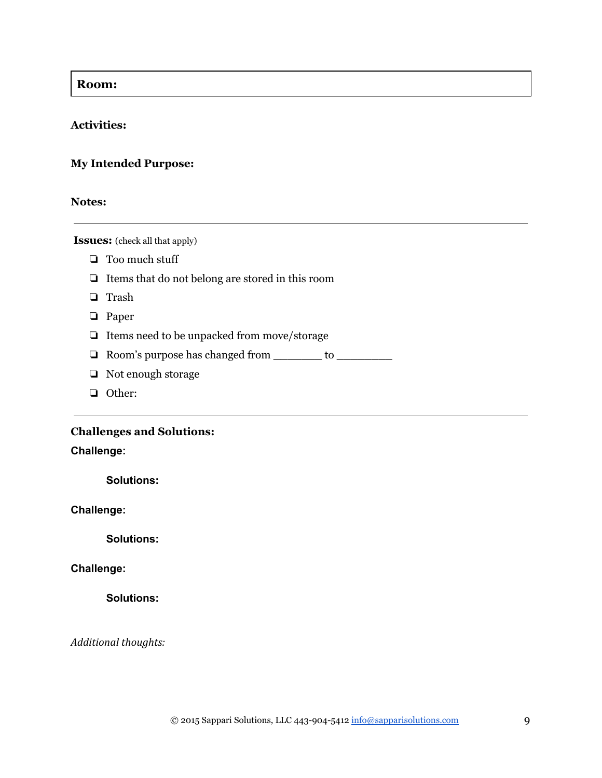#### **Room:**

#### **Activities:**

#### **My Intended Purpose:**

#### **Notes:**

 **Issues:** (check all that apply)

- ❏ Too much stuff
- ❏ Items that do not belong are stored in this room
- ❏ Trash
- ❏ Paper
- ❏ Items need to be unpacked from move/storage
- ❏ Room's purpose has changed from \_\_\_\_\_\_\_ to \_\_\_\_\_\_\_\_
- ❏ Not enough storage
- ❏ Other:

# **Challenges and Solutions:**

## **Challenge:**

**Solutions:**

#### **Challenge:**

**Solutions:**

#### **Challenge:**

**Solutions:**

*Additional thoughts:*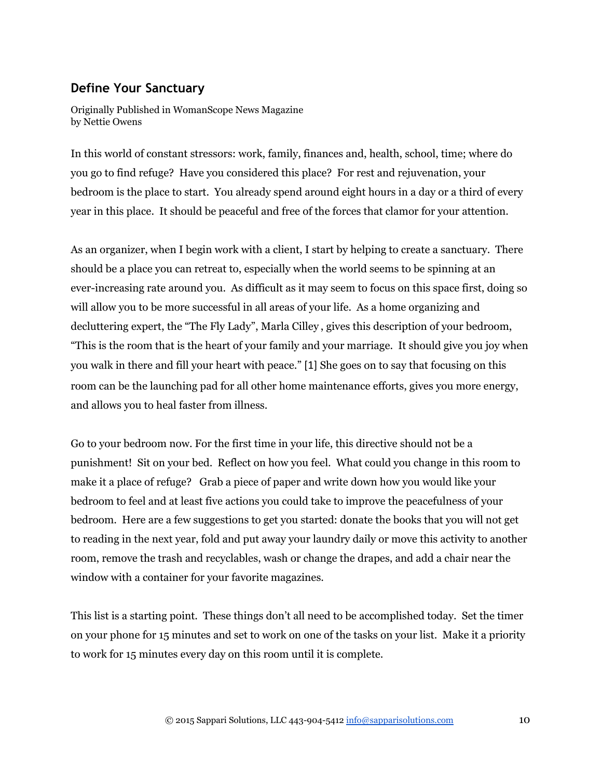### **Define Your Sanctuary**

Originally Published in WomanScope News Magazine by Nettie Owens

In this world of constant stressors: work, family, finances and, health, school, time; where do you go to find refuge? Have you considered this place? For rest and rejuvenation, your bedroom is the place to start. You already spend around eight hours in a day or a third of every year in this place. It should be peaceful and free of the forces that clamor for your attention.

As an organizer, when I begin work with a client, I start by helping to create a sanctuary. There should be a place you can retreat to, especially when the world seems to be spinning at an ever-increasing rate around you. As difficult as it may seem to focus on this space first, doing so will allow you to be more successful in all areas of your life. As a home organizing and decluttering expert, the "The Fly Lady", Marla Cilley , gives this description of your bedroom, "This is the room that is the heart of your family and your marriage. It should give you joy when you walk in there and fill your heart with peace." [1] She goes on to say that focusing on this room can be the launching pad for all other home maintenance efforts, gives you more energy, and allows you to heal faster from illness.

Go to your bedroom now. For the first time in your life, this directive should not be a punishment! Sit on your bed. Reflect on how you feel. What could you change in this room to make it a place of refuge? Grab a piece of paper and write down how you would like your bedroom to feel and at least five actions you could take to improve the peacefulness of your bedroom. Here are a few suggestions to get you started: donate the books that you will not get to reading in the next year, fold and put away your laundry daily or move this activity to another room, remove the trash and recyclables, wash or change the drapes, and add a chair near the window with a container for your favorite magazines.

This list is a starting point. These things don't all need to be accomplished today. Set the timer on your phone for 15 minutes and set to work on one of the tasks on your list. Make it a priority to work for 15 minutes every day on this room until it is complete.